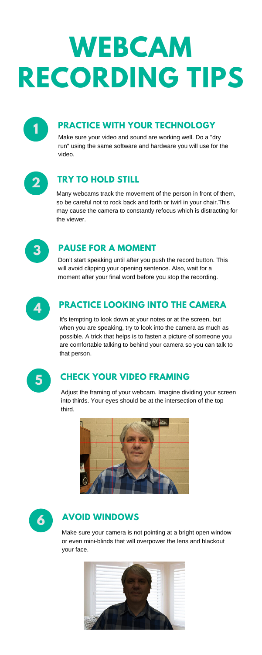## **PRACTICE WITH YOUR TECHNOLOGY**



#### **TRY TO HOLD STILL 2**

#### **PAUSE FOR <sup>A</sup> MOMENT 3**

## **CHECK YOUR VIDEO FRAMING 5**

## **AVOID WINDOWS 6**

## **PRACTICE LOOKING INTO THE CAMERA 4**

It's tempting to look down at your notes or at the screen, but when you are speaking, try to look into the camera as much as possible. A trick that helps is to fasten a picture of someone you are comfortable talking to behind your camera so you can talk to that person.



Make sure your camera is not pointing at a bright open window or even mini-blinds that will overpower the lens and blackout your face.



# **WEBCAM RECORDING TIPS**

Make sure your video and sound are working well. Do a "dry run" using the same software and hardware you will use for the video.



Many webcams track the movement of the person in front of them, so be careful not to rock back and forth or twirl in your chair.This may cause the camera to constantly refocus which is distracting for the viewer.



Adjust the framing of your webcam. Imagine dividing your screen into thirds. Your eyes should be at the intersection of the top third.





Don't start speaking until after you push the record button. This will avoid clipping your opening sentence. Also, wait for a moment after your final word before you stop the recording.